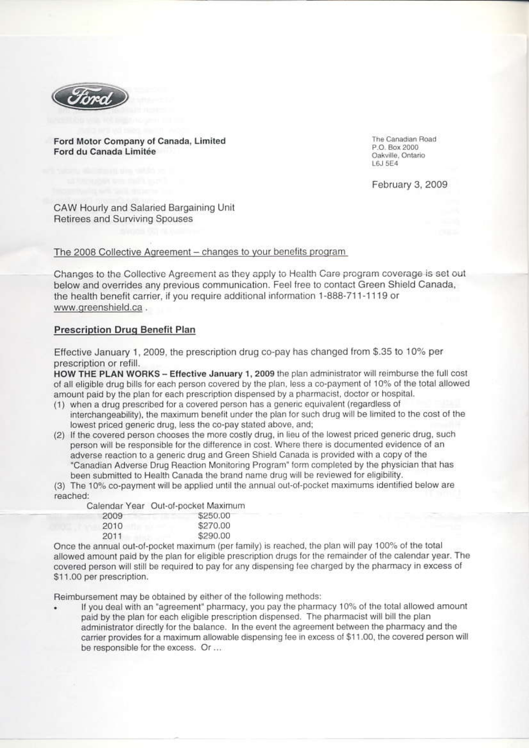

Ford Motor Company of Canada, Limited Ford du Canada Limitée

The Canadian Road P.O. Box 2000 Oakville, Ontario L615F4

February 3, 2009

CAW Hourly and Salaried Bargaining Unit Retirees and Surviving Spouses

The 2008 Collective Agreement - changes to your benefits program

Changes to the Collective Agreement as they apply to Health Care program coverage is set out below and overrides any previous communication. Feel free to contact Green Shield Canada, the health benefit carrier, if you require additional information 1-888-711-1119 or www.greenshield.ca.

## **Prescription Drug Benefit Plan**

Effective January 1, 2009, the prescription drug co-pay has changed from \$.35 to 10% per prescription or refill.

HOW THE PLAN WORKS - Effective January 1, 2009 the plan administrator will reimburse the full cost of all eligible drug bills for each person covered by the plan, less a co-payment of 10% of the total allowed amount paid by the plan for each prescription dispensed by a pharmacist, doctor or hospital.

- (1) when a drug prescribed for a covered person has a generic equivalent (regardless of interchangeability), the maximum benefit under the plan for such drug will be limited to the cost of the lowest priced generic drug, less the co-pay stated above, and;
- (2) If the covered person chooses the more costly drug, in lieu of the lowest priced generic drug, such person will be responsible for the difference in cost. Where there is documented evidence of an adverse reaction to a generic drug and Green Shield Canada is provided with a copy of the "Canadian Adverse Drug Reaction Monitoring Program" form completed by the physician that has been submitted to Health Canada the brand name drug will be reviewed for eligibility.

(3) The 10% co-payment will be applied until the annual out-of-pocket maximums identified below are reached:

Calendar Year Out-of-pocket Maximum

| 2009 | \$250.00 |
|------|----------|
| 2010 | \$270.00 |
| 2011 | \$290.00 |

Once the annual out-of-pocket maximum (per family) is reached, the plan will pay 100% of the total allowed amount paid by the plan for eligible prescription drugs for the remainder of the calendar year. The covered person will still be required to pay for any dispensing fee charged by the pharmacy in excess of \$11.00 per prescription.

Reimbursement may be obtained by either of the following methods:

If you deal with an "agreement" pharmacy, you pay the pharmacy 10% of the total allowed amount paid by the plan for each eligible prescription dispensed. The pharmacist will bill the plan administrator directly for the balance. In the event the agreement between the pharmacy and the carrier provides for a maximum allowable dispensing fee in excess of \$11.00, the covered person will be responsible for the excess. Or ...